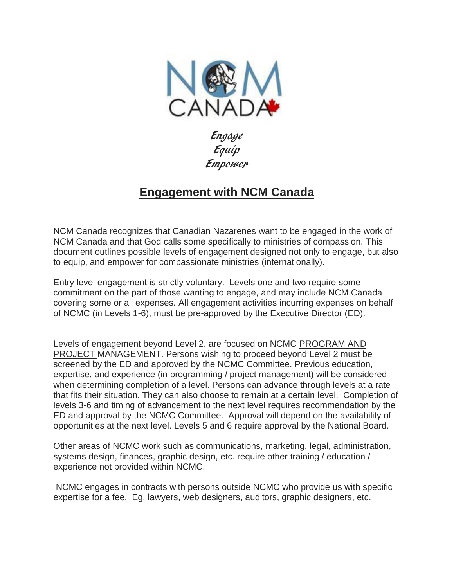

Engage Equip Empower

# **Engagement with NCM Canada**

NCM Canada recognizes that Canadian Nazarenes want to be engaged in the work of NCM Canada and that God calls some specifically to ministries of compassion. This document outlines possible levels of engagement designed not only to engage, but also to equip, and empower for compassionate ministries (internationally).

Entry level engagement is strictly voluntary. Levels one and two require some commitment on the part of those wanting to engage, and may include NCM Canada covering some or all expenses. All engagement activities incurring expenses on behalf of NCMC (in Levels 1-6), must be pre-approved by the Executive Director (ED).

Levels of engagement beyond Level 2, are focused on NCMC PROGRAM AND PROJECT MANAGEMENT. Persons wishing to proceed beyond Level 2 must be screened by the ED and approved by the NCMC Committee. Previous education, expertise, and experience (in programming / project management) will be considered when determining completion of a level. Persons can advance through levels at a rate that fits their situation. They can also choose to remain at a certain level. Completion of levels 3-6 and timing of advancement to the next level requires recommendation by the ED and approval by the NCMC Committee. Approval will depend on the availability of opportunities at the next level. Levels 5 and 6 require approval by the National Board.

Other areas of NCMC work such as communications, marketing, legal, administration, systems design, finances, graphic design, etc. require other training / education / experience not provided within NCMC.

NCMC engages in contracts with persons outside NCMC who provide us with specific expertise for a fee. Eg. lawyers, web designers, auditors, graphic designers, etc.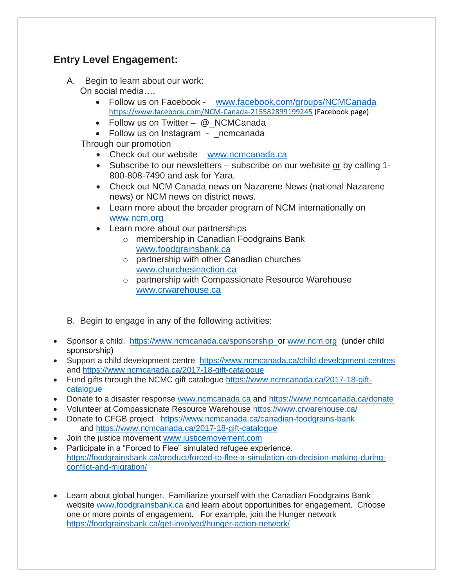## **Entry Level Engagement:**

- A. Begin to learn about our work: On social media….
	- Follow us on Facebook [www.facebook,com/groups/NCMCanada](http://www.facebook,com/groups/NCMCanada) <https://www.facebook.com/NCM-Canada-215582899199245> (Facebook page)
	- Follow us on Twitter @ NCMCanada
	- Follow us on Instagram \_ncmcanada

Through our promotion

- Check out our website [www.ncmcanada.ca](http://www.ncmcanada.ca/)
- Subscribe to our newsletters subscribe on our website or by calling 1-800-808-7490 and ask for Yara.
- Check out NCM Canada news on Nazarene News (national Nazarene news) or NCM news on district news.
- Learn more about the broader program of NCM internationally on [www.ncm.org](http://www.ncm.org/)
- Learn more about our partnerships
	- o membership in Canadian Foodgrains Bank [www.foodgrainsbank.ca](http://www.foodgrainsbank.ca/)
	- o partnership with other Canadian churches [www.churchesinaction.ca](http://www.churchesinaction.ca/)
	- o partnership with Compassionate Resource Warehouse [www.crwarehouse.ca](http://www.crwarehouse.ca/)
- B. Begin to engage in any of the following activities:
- Sponsor a child. <https://www.ncmcanada.ca/sponsorship>or [www.ncm.org](http://www.ncm.org/) (under child sponsorship)
- Support a child development centre <https://www.ncmcanada.ca/child-development-centres> and<https://www.ncmcanada.ca/2017-18-gift-catalogue>
- Fund gifts through the NCMC gift catalogue [https://www.ncmcanada.ca/2017-18-gift](https://www.ncmcanada.ca/2017-18-gift-catalogue)[catalogue](https://www.ncmcanada.ca/2017-18-gift-catalogue)
- Donate to a disaster response [www.ncmcanada.ca](http://www.ncmcanada.ca/) and<https://www.ncmcanada.ca/donate>
- Volunteer at Compassionate Resource Warehouse<https://www.crwarehouse.ca/>
- Donate to CFGB project <https://www.ncmcanada.ca/canadian-foodgrains-bank> and<https://www.ncmcanada.ca/2017-18-gift-catalogue>
- Join the justice movement [www.justicemovement.com](http://www.justicemovement.com/)
- Participate in a "Forced to Flee" simulated refugee experience. [https://foodgrainsbank.ca/product/forced-to-flee-a-simulation-on-decision-making-during](https://foodgrainsbank.ca/product/forced-to-flee-a-simulation-on-decision-making-during-conflict-and-migration/)[conflict-and-migration/](https://foodgrainsbank.ca/product/forced-to-flee-a-simulation-on-decision-making-during-conflict-and-migration/)
- Learn about global hunger. Familiarize yourself with the Canadian Foodgrains Bank website [www.foodgrainsbank.ca](http://www.foodgrainsbank.ca/) and learn about opportunities for engagement. Choose one or more points of engagement. For example, join the Hunger network <https://foodgrainsbank.ca/get-involved/hunger-action-network/>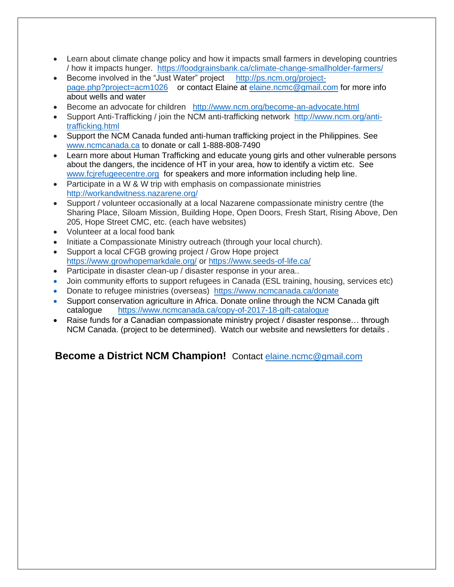- Learn about climate change policy and how it impacts small farmers in developing countries / how it impacts hunger. <https://foodgrainsbank.ca/climate-change-smallholder-farmers/>
- Become involved in the "Just Water" project [http://ps.ncm.org/project](http://ps.ncm.org/project-page.php?project=acm1026)[page.php?project=acm1026](http://ps.ncm.org/project-page.php?project=acm1026) or contact Elaine at [elaine.ncmc@gmail.com](mailto:elaine.ncmc@gmail.com) for more info about wells and water
- Become an advocate for children <http://www.ncm.org/become-an-advocate.html>
- Support Anti-Trafficking / join the NCM anti-trafficking network [http://www.ncm.org/anti](http://www.ncm.org/anti-trafficking.html)[trafficking.html](http://www.ncm.org/anti-trafficking.html)
- Support the NCM Canada funded anti-human trafficking project in the Philippines. See [www.ncmcanada.ca](http://www.ncmcanada.ca/) to donate or call 1-888-808-7490
- Learn more about Human Trafficking and educate young girls and other vulnerable persons about the dangers, the incidence of HT in your area, how to identify a victim etc. See [www.fcjrefugeecentre.org](http://www.fcjrefugeecentre.org/) for speakers and more information including help line.
- Participate in a W & W trip with emphasis on compassionate ministries <http://workandwitness.nazarene.org/>
- Support / volunteer occasionally at a local Nazarene compassionate ministry centre (the Sharing Place, Siloam Mission, Building Hope, Open Doors, Fresh Start, Rising Above, Den 205, Hope Street CMC, etc. (each have websites)
- Volunteer at a local food bank
- Initiate a Compassionate Ministry outreach (through your local church).
- Support a local CFGB growing project / Grow Hope project <https://www.growhopemarkdale.org/> or<https://www.seeds-of-life.ca/>
- Participate in disaster clean-up / disaster response in your area..
- Join community efforts to support refugees in Canada (ESL training, housing, services etc)
- Donate to refugee ministries (overseas) <https://www.ncmcanada.ca/donate>
- Support conservation agriculture in Africa. Donate online through the NCM Canada gift catalogue <https://www.ncmcanada.ca/copy-of-2017-18-gift-catalogue>
- Raise funds for a Canadian compassionate ministry project / disaster response... through NCM Canada. (project to be determined). Watch our website and newsletters for details .

# **Become a District NCM Champion!** Contact [elaine.ncmc@gmail.com](mailto:elaine.ncmc@gmail.com)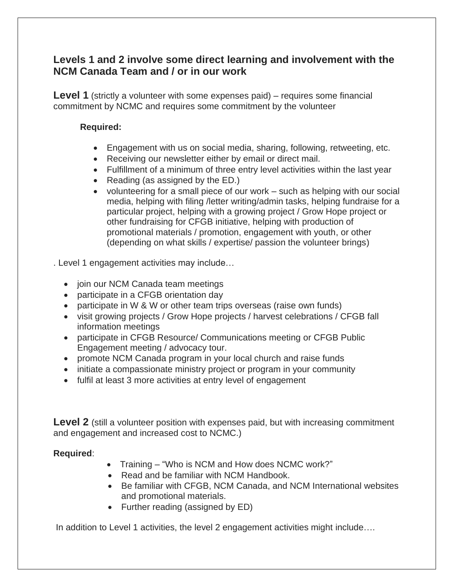### **Levels 1 and 2 involve some direct learning and involvement with the NCM Canada Team and / or in our work**

**Level 1** (strictly a volunteer with some expenses paid) – requires some financial commitment by NCMC and requires some commitment by the volunteer

#### **Required:**

- Engagement with us on social media, sharing, following, retweeting, etc.
- Receiving our newsletter either by email or direct mail.
- Fulfillment of a minimum of three entry level activities within the last year
- Reading (as assigned by the ED.)
- volunteering for a small piece of our work such as helping with our social media, helping with filing /letter writing/admin tasks, helping fundraise for a particular project, helping with a growing project / Grow Hope project or other fundraising for CFGB initiative, helping with production of promotional materials / promotion, engagement with youth, or other (depending on what skills / expertise/ passion the volunteer brings)

. Level 1 engagement activities may include…

- join our NCM Canada team meetings
- participate in a CFGB orientation day
- participate in W & W or other team trips overseas (raise own funds)
- visit growing projects / Grow Hope projects / harvest celebrations / CFGB fall information meetings
- participate in CFGB Resource/ Communications meeting or CFGB Public Engagement meeting / advocacy tour.
- promote NCM Canada program in your local church and raise funds
- initiate a compassionate ministry project or program in your community
- fulfil at least 3 more activities at entry level of engagement

**Level 2** (still a volunteer position with expenses paid, but with increasing commitment and engagement and increased cost to NCMC.)

#### **Required**:

- Training "Who is NCM and How does NCMC work?"
- Read and be familiar with NCM Handbook.
- Be familiar with CFGB, NCM Canada, and NCM International websites and promotional materials.
- Further reading (assigned by ED)

In addition to Level 1 activities, the level 2 engagement activities might include….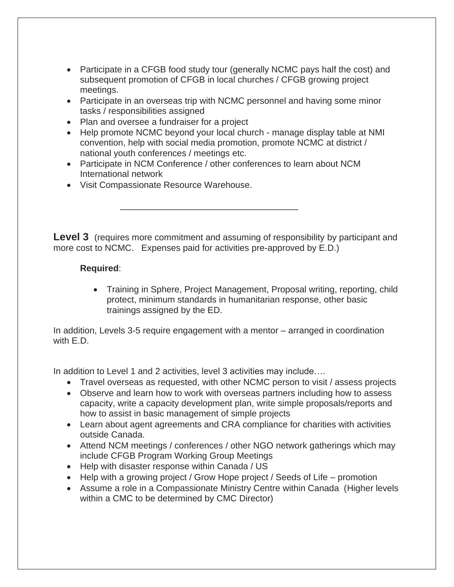- Participate in a CFGB food study tour (generally NCMC pays half the cost) and subsequent promotion of CFGB in local churches / CFGB growing project meetings.
- Participate in an overseas trip with NCMC personnel and having some minor tasks / responsibilities assigned
- Plan and oversee a fundraiser for a project
- Help promote NCMC beyond your local church manage display table at NMI convention, help with social media promotion, promote NCMC at district / national youth conferences / meetings etc.
- Participate in NCM Conference / other conferences to learn about NCM International network
- Visit Compassionate Resource Warehouse.

 $\frac{1}{\sqrt{2\pi}}$  ,  $\frac{1}{\sqrt{2\pi}}$  ,  $\frac{1}{\sqrt{2\pi}}$  ,  $\frac{1}{\sqrt{2\pi}}$  ,  $\frac{1}{\sqrt{2\pi}}$  ,  $\frac{1}{\sqrt{2\pi}}$  ,  $\frac{1}{\sqrt{2\pi}}$  ,  $\frac{1}{\sqrt{2\pi}}$  ,  $\frac{1}{\sqrt{2\pi}}$  ,  $\frac{1}{\sqrt{2\pi}}$  ,  $\frac{1}{\sqrt{2\pi}}$  ,  $\frac{1}{\sqrt{2\pi}}$  ,  $\frac{1}{\sqrt{2\pi}}$  ,

**Level 3** (requires more commitment and assuming of responsibility by participant and more cost to NCMC. Expenses paid for activities pre-approved by E.D.)

#### **Required**:

• Training in Sphere, Project Management, Proposal writing, reporting, child protect, minimum standards in humanitarian response, other basic trainings assigned by the ED.

In addition, Levels 3-5 require engagement with a mentor – arranged in coordination with E.D.

In addition to Level 1 and 2 activities, level 3 activities may include....

- Travel overseas as requested, with other NCMC person to visit / assess projects
- Observe and learn how to work with overseas partners including how to assess capacity, write a capacity development plan, write simple proposals/reports and how to assist in basic management of simple projects
- Learn about agent agreements and CRA compliance for charities with activities outside Canada.
- Attend NCM meetings / conferences / other NGO network gatherings which may include CFGB Program Working Group Meetings
- Help with disaster response within Canada / US
- Help with a growing project / Grow Hope project / Seeds of Life promotion
- Assume a role in a Compassionate Ministry Centre within Canada (Higher levels within a CMC to be determined by CMC Director)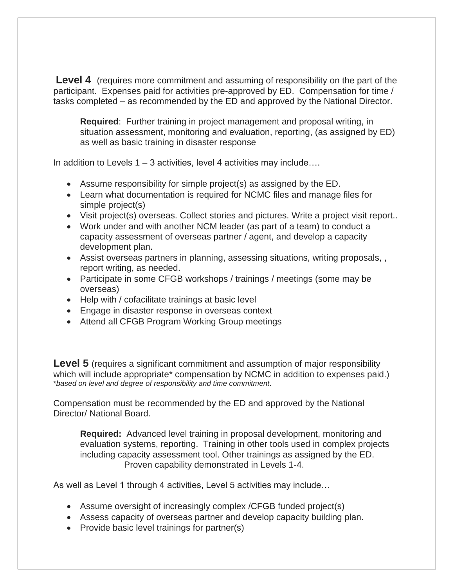**Level 4** (requires more commitment and assuming of responsibility on the part of the participant. Expenses paid for activities pre-approved by ED. Compensation for time / tasks completed – as recommended by the ED and approved by the National Director.

**Required**: Further training in project management and proposal writing, in situation assessment, monitoring and evaluation, reporting, (as assigned by ED) as well as basic training in disaster response

In addition to Levels 1 – 3 activities, level 4 activities may include….

- Assume responsibility for simple project(s) as assigned by the ED.
- Learn what documentation is required for NCMC files and manage files for simple project(s)
- Visit project(s) overseas. Collect stories and pictures. Write a project visit report..
- Work under and with another NCM leader (as part of a team) to conduct a capacity assessment of overseas partner / agent, and develop a capacity development plan.
- Assist overseas partners in planning, assessing situations, writing proposals, , report writing, as needed.
- Participate in some CFGB workshops / trainings / meetings (some may be overseas)
- Help with / cofacilitate trainings at basic level
- Engage in disaster response in overseas context
- Attend all CFGB Program Working Group meetings

**Level 5** (requires a significant commitment and assumption of major responsibility which will include appropriate\* compensation by NCMC in addition to expenses paid.) \**based on level and degree of responsibility and time commitment*.

Compensation must be recommended by the ED and approved by the National Director/ National Board.

**Required:** Advanced level training in proposal development, monitoring and evaluation systems, reporting. Training in other tools used in complex projects including capacity assessment tool. Other trainings as assigned by the ED. Proven capability demonstrated in Levels 1-4.

As well as Level 1 through 4 activities, Level 5 activities may include…

- Assume oversight of increasingly complex / CFGB funded project(s)
- Assess capacity of overseas partner and develop capacity building plan.
- Provide basic level trainings for partner(s)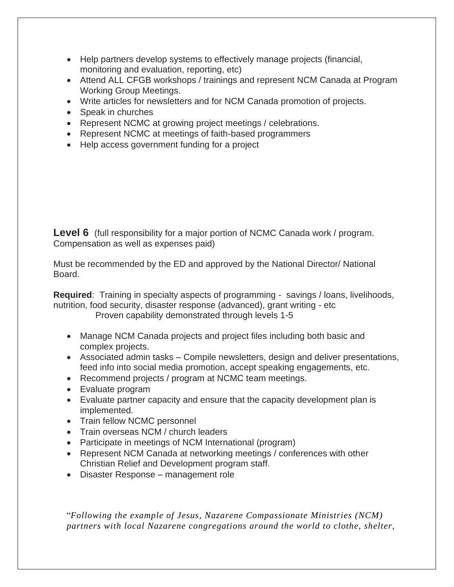- Help partners develop systems to effectively manage projects (financial, monitoring and evaluation, reporting, etc)
- Attend ALL CFGB workshops / trainings and represent NCM Canada at Program Working Group Meetings.
- Write articles for newsletters and for NCM Canada promotion of projects.
- Speak in churches
- Represent NCMC at growing project meetings / celebrations.
- Represent NCMC at meetings of faith-based programmers
- Help access government funding for a project

**Level 6** (full responsibility for a major portion of NCMC Canada work / program. Compensation as well as expenses paid)

Must be recommended by the ED and approved by the National Director/ National Board.

**Required**: Training in specialty aspects of programming - savings / loans, livelihoods, nutrition, food security, disaster response (advanced), grant writing - etc Proven capability demonstrated through levels 1-5

- Manage NCM Canada projects and project files including both basic and complex projects.
- Associated admin tasks Compile newsletters, design and deliver presentations, feed info into social media promotion, accept speaking engagements, etc.
- Recommend projects / program at NCMC team meetings.
- Evaluate program
- Evaluate partner capacity and ensure that the capacity development plan is implemented.
- Train fellow NCMC personnel
- Train overseas NCM / church leaders
- Participate in meetings of NCM International (program)
- Represent NCM Canada at networking meetings / conferences with other Christian Relief and Development program staff.
- Disaster Response management role

"*Following the example of Jesus, Nazarene Compassionate Ministries (NCM) partners with local Nazarene congregations around the world to clothe, shelter,*